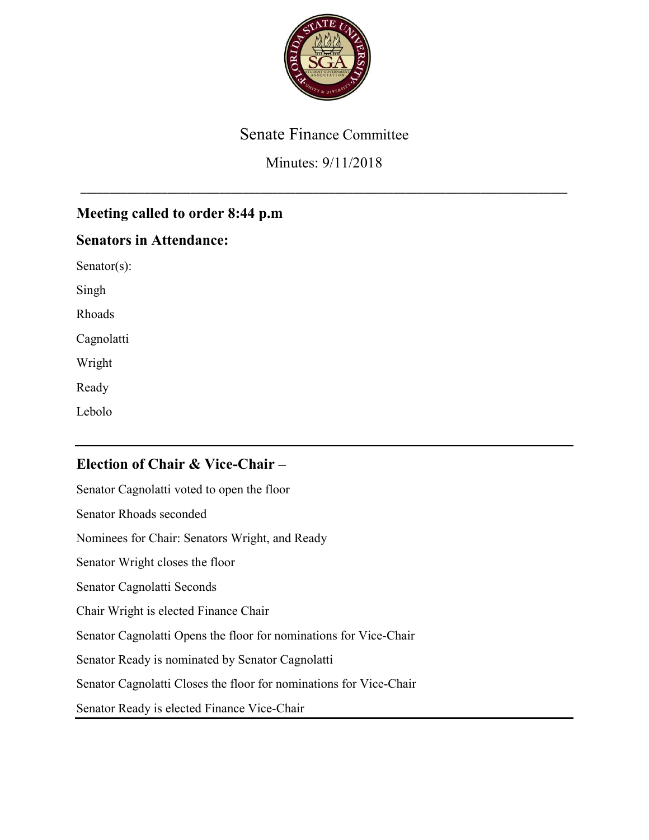

# Senate Finance Committee

# Minutes: 9/11/2018

\_\_\_\_\_\_\_\_\_\_\_\_\_\_\_\_\_\_\_\_\_\_\_\_\_\_\_\_\_\_\_\_\_\_\_\_\_\_\_\_\_\_\_\_\_\_\_\_\_\_\_\_\_\_\_\_\_\_\_\_\_\_\_\_\_\_\_\_\_\_\_\_\_\_\_\_\_\_\_\_\_\_\_\_

# Meeting called to order 8:44 p.m

## Senators in Attendance:

Senator(s):

Singh

Rhoads

Cagnolatti

Wright

Ready

Lebolo

# Election of Chair & Vice-Chair –

Senator Cagnolatti voted to open the floor Senator Rhoads seconded Nominees for Chair: Senators Wright, and Ready Senator Wright closes the floor Senator Cagnolatti Seconds Chair Wright is elected Finance Chair Senator Cagnolatti Opens the floor for nominations for Vice-Chair Senator Ready is nominated by Senator Cagnolatti Senator Cagnolatti Closes the floor for nominations for Vice-Chair Senator Ready is elected Finance Vice-Chair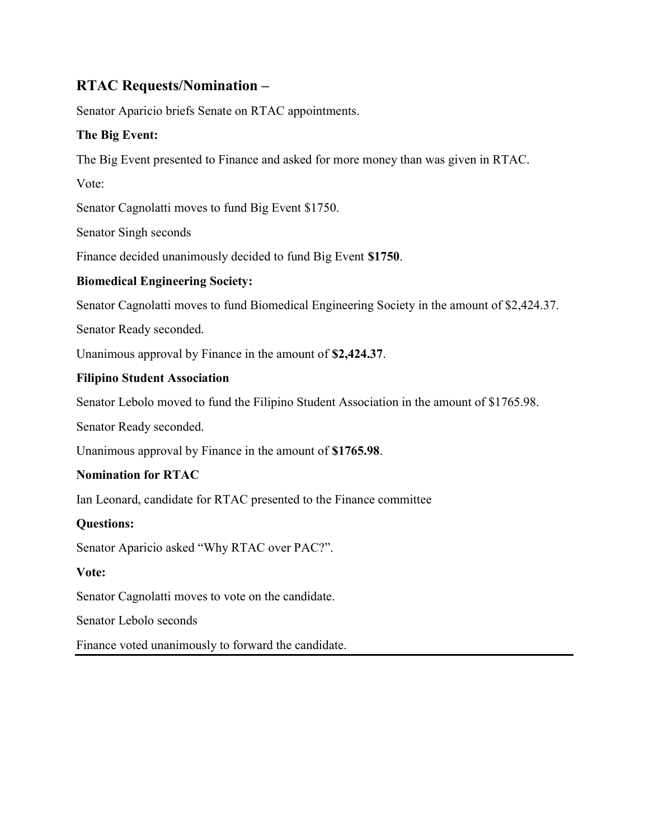## RTAC Requests/Nomination –

Senator Aparicio briefs Senate on RTAC appointments.

### The Big Event:

The Big Event presented to Finance and asked for more money than was given in RTAC.

Vote:

Senator Cagnolatti moves to fund Big Event \$1750.

Senator Singh seconds

Finance decided unanimously decided to fund Big Event \$1750.

### Biomedical Engineering Society:

Senator Cagnolatti moves to fund Biomedical Engineering Society in the amount of \$2,424.37.

Senator Ready seconded.

Unanimous approval by Finance in the amount of \$2,424.37.

### Filipino Student Association

Senator Lebolo moved to fund the Filipino Student Association in the amount of \$1765.98.

Senator Ready seconded.

Unanimous approval by Finance in the amount of \$1765.98.

### Nomination for RTAC

Ian Leonard, candidate for RTAC presented to the Finance committee

### Questions:

Senator Aparicio asked "Why RTAC over PAC?".

### Vote:

Senator Cagnolatti moves to vote on the candidate.

Senator Lebolo seconds

Finance voted unanimously to forward the candidate.